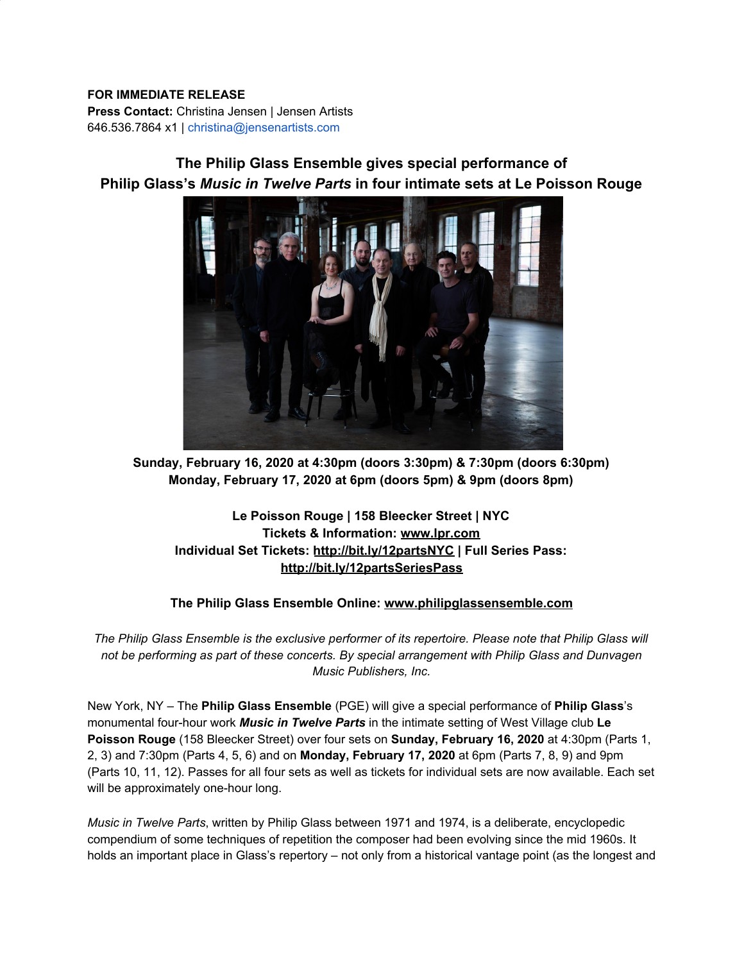### **FOR IMMEDIATE RELEASE**

**Press Contact:** Christina Jensen | Jensen Artists 646.536.7864 x1 | christina@jensenartists.com

# **The Philip Glass Ensemble gives special performance of Philip Glass's** *Music in Twelve Parts* **in four intimate sets at Le Poisson Rouge**



**Sunday, February 16, 2020 at 4:30pm (doors 3:30pm) & 7:30pm (doors 6:30pm) Monday, February 17, 2020 at 6pm (doors 5pm) & 9pm (doors 8pm)**

# **Le Poisson Rouge | 158 Bleecker Street | NYC Tickets & Information: [www.lpr.com](https://u7061146.ct.sendgrid.net/wf/click?upn=84Em28S1K9SvtzcUtu04EoNatpFagspMlzyKDaxRKiY-3D_DruDjhchMBr5xQkz3h1qcOnjZc-2BCsAVhraQ7DxYhbA2-2BHLQf-2BHKWaWi2FTM7QHo-2Fd7eCMDRMAhfd2mcWSs-2FpzNW9MmuPwV7rH-2FbDd7DdSSZxqtPEH-2BkH0NxPZZm4x4jyv2AtTzQxWpsitQgcDcTFupp1C0Ue3eH2uD-2B-2BM36Azt6jXTTda8bkDNKgdSSWqQdLDHyVdU2FeGz-2FFht3sEWlk27135R7CYVvVvqD0aGjn3N7GwpaBt58peRSo-2BHvgx70nikOOnFKf2n4FxSGB-2Bw6jrlel-2B-2BYB-2Fg2jv5nlBzMVphXPcmTnqQZmka7QE3abUF3BZGOofxwBh8-2Fj-2F697TAE9h1BMXppEJR3ZQ-2F6fUCWErs-3D) Individual Set Tickets: [http://bit.ly/12partsNYC](https://u7061146.ct.sendgrid.net/wf/click?upn=v19UDW8FsixrCS-2Fm9-2By91B468ZziU3m6v4ubGpcBZTE-3D_DruDjhchMBr5xQkz3h1qcOnjZc-2BCsAVhraQ7DxYhbA2-2BHLQf-2BHKWaWi2FTM7QHo-2Fd7eCMDRMAhfd2mcWSs-2FpzNW9MmuPwV7rH-2FbDd7DdSSZxqtPEH-2BkH0NxPZZm4x4jyv2AtTzQxWpsitQgcDcTFupp1C0Ue3eH2uD-2B-2BM36Azt6jXTTda8bkDNKgdSSWqQdLDHyVdU2FeGz-2FFht3sEWlk2JpYkH5s87z6PMZGkrQSvTt3DLPldpcc-2B0ECb6JK9eVXeH6jsA-2FKWxeCFAfPPWNgHeWFqQqWu4yt3CFGro-2BqdHq0jTtDcvZW1FTotn9NL5cfJI2t8dP01wajxFkhN29-2FV-2BK5JKNMtt-2Fc9WAr8Og5XA-3D) | Full Series Pass: [http://bit.ly/12partsSeriesPass](https://u7061146.ct.sendgrid.net/wf/click?upn=v19UDW8FsixrCS-2Fm9-2By91JNL6xb48IN6uvNoM0-2FKIv7wpcc2iQY3XX7geujcoIM-2F_DruDjhchMBr5xQkz3h1qcOnjZc-2BCsAVhraQ7DxYhbA2-2BHLQf-2BHKWaWi2FTM7QHo-2Fd7eCMDRMAhfd2mcWSs-2FpzNW9MmuPwV7rH-2FbDd7DdSSZxqtPEH-2BkH0NxPZZm4x4jyv2AtTzQxWpsitQgcDcTFupp1C0Ue3eH2uD-2B-2BM36Azt6jXTTda8bkDNKgdSSWqQdLDHyVdU2FeGz-2FFht3sEWlkzDaWYkJ-2BT-2B-2B8YbiAAYwk-2FKgB8TkyKJjCXNUdzxhfXq3OBuOOQr-2FceYNHy8sCWGQUlX4B16-2BoZPUMSt5oYQAD59osyHRfBfhdFZznrQrLRxeYhRnQIE5DtciMhiGjrj9SyAnaWBnlQTzsF0vbqEl5YE-3D)**

## **The Philip Glass Ensemble Online: [www.philipglassensemble.com](https://u7061146.ct.sendgrid.net/wf/click?upn=84Em28S1K9SvtzcUtu04EoTLc2bUTc0EIcBQEvwKr7GojTruu9oTO-2BWkOef5nlVL_DruDjhchMBr5xQkz3h1qcOnjZc-2BCsAVhraQ7DxYhbA2-2BHLQf-2BHKWaWi2FTM7QHo-2Fd7eCMDRMAhfd2mcWSs-2FpzNW9MmuPwV7rH-2FbDd7DdSSZxqtPEH-2BkH0NxPZZm4x4jyv2AtTzQxWpsitQgcDcTFupp1C0Ue3eH2uD-2B-2BM36Azt6jXTTda8bkDNKgdSSWqQdLDHyVdU2FeGz-2FFht3sEWlk3dMxglPLcylQMyDuqdyKYohwGZF-2BOGZF1dcUueHsVjKrJQC0cvt33BDAupfTxwRicprQMI9djsEW5OIVcm2nbyc2GHDXfb0bOhdJaVryDuk8zYZ53q-2B6fYLp8WUUY-2FH3oaKvF9Rr75xKMqt2SuEjCE-3D)**

The Philip Glass Ensemble is the exclusive performer of its repertoire. Please note that Philip Glass will *not be performing as part of these concerts. By special arrangement with Philip Glass and Dunvagen Music Publishers, Inc.*

New York, NY – The **Philip Glass Ensemble** (PGE) will give a special performance of **Philip Glass**'s monumental four-hour work *Music in Twelve Parts* in the intimate setting of West Village club **Le Poisson Rouge** (158 Bleecker Street) over four sets on **Sunday, February 16, 2020** at 4:30pm (Parts 1, 2, 3) and 7:30pm (Parts 4, 5, 6) and on **Monday, February 17, 2020** at 6pm (Parts 7, 8, 9) and 9pm (Parts 10, 11, 12). Passes for all four sets as well as tickets for individual sets are now available. Each set will be approximately one-hour long.

*Music in Twelve Parts*, written by Philip Glass between 1971 and 1974, is a deliberate, encyclopedic compendium of some techniques of repetition the composer had been evolving since the mid 1960s. It holds an important place in Glass's repertory – not only from a historical vantage point (as the longest and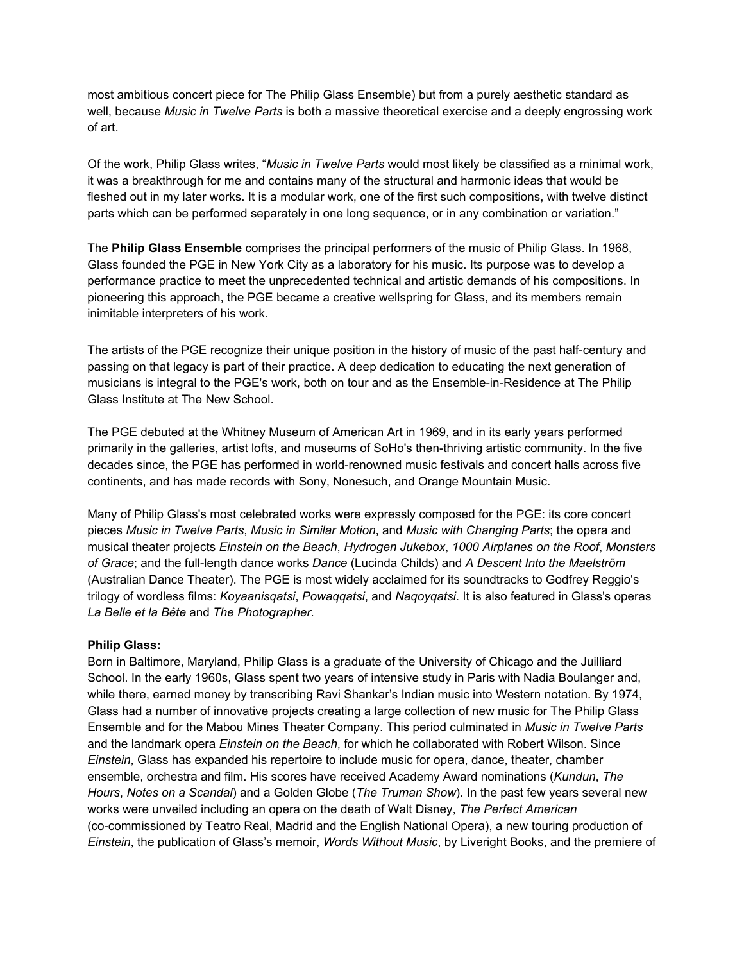most ambitious concert piece for The Philip Glass Ensemble) but from a purely aesthetic standard as well, because *Music in Twelve Parts* is both a massive theoretical exercise and a deeply engrossing work of art.

Of the work, Philip Glass writes, "*Music in Twelve Parts* would most likely be classified as a minimal work, it was a breakthrough for me and contains many of the structural and harmonic ideas that would be fleshed out in my later works. It is a modular work, one of the first such compositions, with twelve distinct parts which can be performed separately in one long sequence, or in any combination or variation."

The **Philip Glass Ensemble** comprises the principal performers of the music of Philip Glass. In 1968, Glass founded the PGE in New York City as a laboratory for his music. Its purpose was to develop a performance practice to meet the unprecedented technical and artistic demands of his compositions. In pioneering this approach, the PGE became a creative wellspring for Glass, and its members remain inimitable interpreters of his work.

The artists of the PGE recognize their unique position in the history of music of the past half-century and passing on that legacy is part of their practice. A deep dedication to educating the next generation of musicians is integral to the PGE's work, both on tour and as the Ensemble-in-Residence at The Philip Glass Institute at The New School.

The PGE debuted at the Whitney Museum of American Art in 1969, and in its early years performed primarily in the galleries, artist lofts, and museums of SoHo's then-thriving artistic community. In the five decades since, the PGE has performed in world-renowned music festivals and concert halls across five continents, and has made records with Sony, Nonesuch, and Orange Mountain Music.

Many of Philip Glass's most celebrated works were expressly composed for the PGE: its core concert pieces *Music in Twelve Parts*, *Music in Similar Motion*, and *Music with Changing Parts*; the opera and musical theater projects *Einstein on the Beach*, *Hydrogen Jukebox*, *1000 Airplanes on the Roof*, *Monsters of Grace*; and the full-length dance works *Dance* (Lucinda Childs) and *A Descent Into the Maelström* (Australian Dance Theater). The PGE is most widely acclaimed for its soundtracks to Godfrey Reggio's trilogy of wordless films: *Koyaanisqatsi*, *Powaqqatsi*, and *Naqoyqatsi*. It is also featured in Glass's operas *La Belle et la Bête* and *The Photographer*.

#### **Philip Glass:**

Born in Baltimore, Maryland, Philip Glass is a graduate of the University of Chicago and the Juilliard School. In the early 1960s, Glass spent two years of intensive study in Paris with Nadia Boulanger and, while there, earned money by transcribing Ravi Shankar's Indian music into Western notation. By 1974, Glass had a number of innovative projects creating a large collection of new music for The Philip Glass Ensemble and for the Mabou Mines Theater Company. This period culminated in *Music in Twelve Parts* and the landmark opera *Einstein on the Beach*, for which he collaborated with Robert Wilson. Since *Einstein*, Glass has expanded his repertoire to include music for opera, dance, theater, chamber ensemble, orchestra and film. His scores have received Academy Award nominations (*Kundun*, *The Hours*, *Notes on a Scandal*) and a Golden Globe (*The Truman Show*). In the past few years several new works were unveiled including an opera on the death of Walt Disney, *The Perfect American* (co-commissioned by Teatro Real, Madrid and the English National Opera), a new touring production of *Einstein*, the publication of Glass's memoir, *Words Without Music*, by Liveright Books, and the premiere of